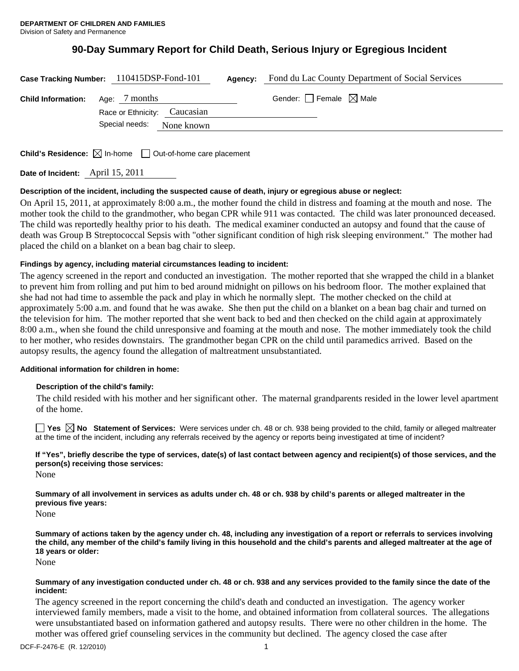## **90-Day Summary Report for Child Death, Serious Injury or Egregious Incident**

|                                         | Case Tracking Number: 110415DSP-Fond-101 | Agency: | Fond du Lac County Department of Social Services |
|-----------------------------------------|------------------------------------------|---------|--------------------------------------------------|
| <b>Child Information:</b> Age: 7 months | Race or Ethnicity: Caucasian             |         | Gender: $\Box$ Female $\boxtimes$ Male           |
|                                         | Special needs:<br>None known             |         |                                                  |

**Child's Residence:**  $\boxtimes$  In-home  $\Box$  Out-of-home care placement

**Date of Incident:** April 15, 2011

### **Description of the incident, including the suspected cause of death, injury or egregious abuse or neglect:**

On April 15, 2011, at approximately 8:00 a.m., the mother found the child in distress and foaming at the mouth and nose. The mother took the child to the grandmother, who began CPR while 911 was contacted. The child was later pronounced deceased. The child was reportedly healthy prior to his death. The medical examiner conducted an autopsy and found that the cause of death was Group B Streptococcal Sepsis with "other significant condition of high risk sleeping environment." The mother had placed the child on a blanket on a bean bag chair to sleep.

### **Findings by agency, including material circumstances leading to incident:**

The agency screened in the report and conducted an investigation. The mother reported that she wrapped the child in a blanket to prevent him from rolling and put him to bed around midnight on pillows on his bedroom floor. The mother explained that she had not had time to assemble the pack and play in which he normally slept. The mother checked on the child at approximately 5:00 a.m. and found that he was awake. She then put the child on a blanket on a bean bag chair and turned on the television for him. The mother reported that she went back to bed and then checked on the child again at approximately 8:00 a.m., when she found the child unresponsive and foaming at the mouth and nose. The mother immediately took the child to her mother, who resides downstairs. The grandmother began CPR on the child until paramedics arrived. Based on the autopsy results, the agency found the allegation of maltreatment unsubstantiated.

### **Additional information for children in home:**

### **Description of the child's family:**

 The child resided with his mother and her significant other. The maternal grandparents resided in the lower level apartment of the home.

**Yes No Statement of Services:** Were services under ch. 48 or ch. 938 being provided to the child, family or alleged maltreater at the time of the incident, including any referrals received by the agency or reports being investigated at time of incident?

# **If "Yes", briefly describe the type of services, date(s) of last contact between agency and recipient(s) of those services, and the person(s) receiving those services:**

None

**Summary of all involvement in services as adults under ch. 48 or ch. 938 by child's parents or alleged maltreater in the previous five years:** 

None

**Summary of actions taken by the agency under ch. 48, including any investigation of a report or referrals to services involving the child, any member of the child's family living in this household and the child's parents and alleged maltreater at the age of 18 years or older:** 

None

#### **Summary of any investigation conducted under ch. 48 or ch. 938 and any services provided to the family since the date of the incident:**

The agency screened in the report concerning the child's death and conducted an investigation. The agency worker interviewed family members, made a visit to the home, and obtained information from collateral sources. The allegations were unsubstantiated based on information gathered and autopsy results. There were no other children in the home. The mother was offered grief counseling services in the community but declined. The agency closed the case after